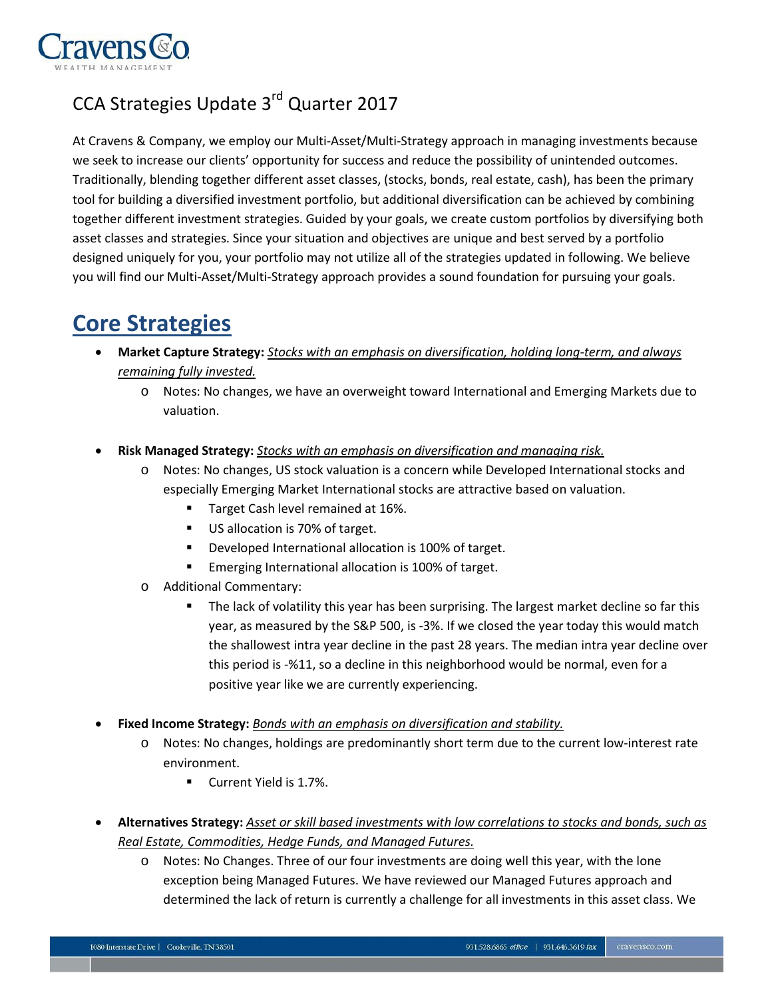

## CCA Strategies Update 3rd Quarter 2017

At Cravens & Company, we employ our Multi‐Asset/Multi‐Strategy approach in managing investments because we seek to increase our clients' opportunity for success and reduce the possibility of unintended outcomes. Traditionally, blending together different asset classes, (stocks, bonds, real estate, cash), has been the primary tool for building a diversified investment portfolio, but additional diversification can be achieved by combining together different investment strategies. Guided by your goals, we create custom portfolios by diversifying both asset classes and strategies. Since your situation and objectives are unique and best served by a portfolio designed uniquely for you, your portfolio may not utilize all of the strategies updated in following. We believe you will find our Multi‐Asset/Multi‐Strategy approach provides a sound foundation for pursuing your goals.

## **Core Strategies**

- **Market Capture Strategy:** *Stocks with an emphasis on diversification, holding long-term, and always remaining fully invested.*
	- o Notes: No changes, we have an overweight toward International and Emerging Markets due to valuation.
- **Risk Managed Strategy:** *Stocks with an emphasis on diversification and managing risk.*
	- o Notes: No changes, US stock valuation is a concern while Developed International stocks and especially Emerging Market International stocks are attractive based on valuation.
		- Target Cash level remained at 16%.
		- US allocation is 70% of target.
		- **Developed International allocation is 100% of target.**
		- **Emerging International allocation is 100% of target.**
	- o Additional Commentary:
		- **The lack of volatility this year has been surprising. The largest market decline so far this** year, as measured by the S&P 500, is -3%. If we closed the year today this would match the shallowest intra year decline in the past 28 years. The median intra year decline over this period is -%11, so a decline in this neighborhood would be normal, even for a positive year like we are currently experiencing.
- **Fixed Income Strategy:** *Bonds with an emphasis on diversification and stability.*
	- o Notes: No changes, holdings are predominantly short term due to the current low-interest rate environment.
		- Current Yield is 1.7%.
- **Alternatives Strategy:** *Asset or skill based investments with low correlations to stocks and bonds, such as Real Estate, Commodities, Hedge Funds, and Managed Futures.*
	- o Notes: No Changes. Three of our four investments are doing well this year, with the lone exception being Managed Futures. We have reviewed our Managed Futures approach and determined the lack of return is currently a challenge for all investments in this asset class. We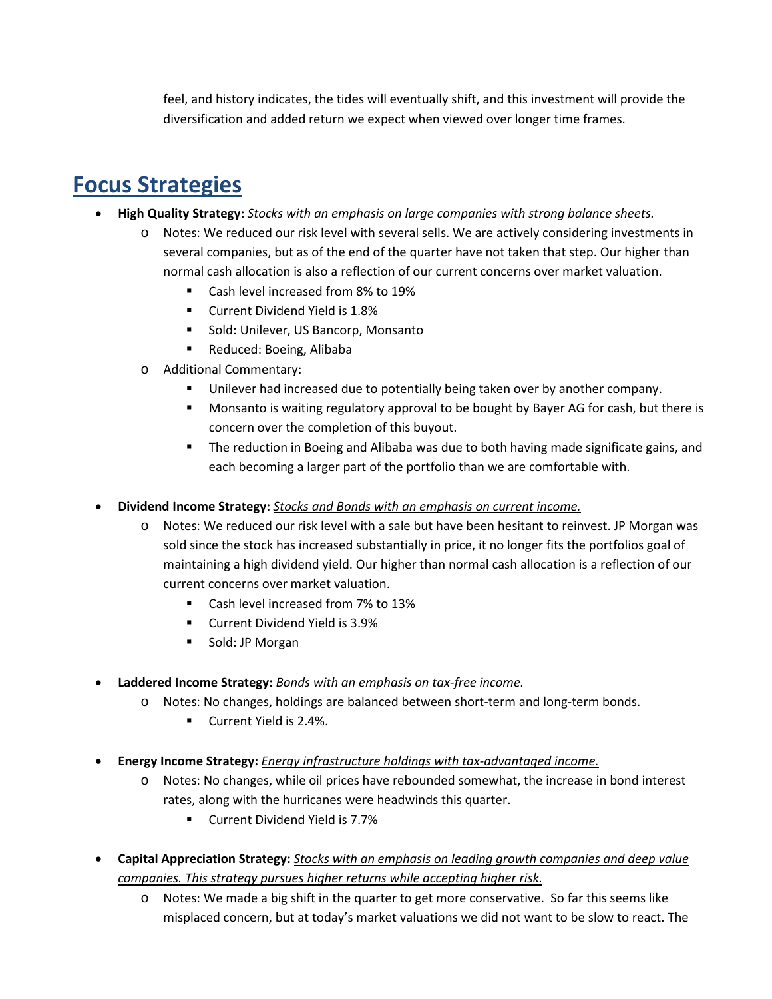feel, and history indicates, the tides will eventually shift, and this investment will provide the diversification and added return we expect when viewed over longer time frames.

## **Focus Strategies**

- **High Quality Strategy:** *Stocks with an emphasis on large companies with strong balance sheets.*
	- o Notes: We reduced our risk level with several sells. We are actively considering investments in several companies, but as of the end of the quarter have not taken that step. Our higher than normal cash allocation is also a reflection of our current concerns over market valuation.
		- Cash level increased from 8% to 19%
		- **Current Dividend Yield is 1.8%**
		- **Sold: Unilever, US Bancorp, Monsanto**
		- Reduced: Boeing, Alibaba
	- o Additional Commentary:
		- Unilever had increased due to potentially being taken over by another company.
		- Monsanto is waiting regulatory approval to be bought by Bayer AG for cash, but there is concern over the completion of this buyout.
		- **The reduction in Boeing and Alibaba was due to both having made significate gains, and** each becoming a larger part of the portfolio than we are comfortable with.
- **Dividend Income Strategy:** *Stocks and Bonds with an emphasis on current income.*
	- o Notes: We reduced our risk level with a sale but have been hesitant to reinvest. JP Morgan was sold since the stock has increased substantially in price, it no longer fits the portfolios goal of maintaining a high dividend yield. Our higher than normal cash allocation is a reflection of our current concerns over market valuation.
		- Cash level increased from 7% to 13%
		- **Current Dividend Yield is 3.9%**
		- **Sold: JP Morgan**
- **Laddered Income Strategy:** *Bonds with an emphasis on tax-free income.*
	- o Notes: No changes, holdings are balanced between short-term and long-term bonds.
		- **Current Yield is 2.4%.**
- **Energy Income Strategy:** *Energy infrastructure holdings with tax-advantaged income.*
	- o Notes: No changes, while oil prices have rebounded somewhat, the increase in bond interest rates, along with the hurricanes were headwinds this quarter.
		- Current Dividend Yield is 7.7%
- **Capital Appreciation Strategy:** *Stocks with an emphasis on leading growth companies and deep value companies. This strategy pursues higher returns while accepting higher risk.*
	- o Notes: We made a big shift in the quarter to get more conservative. So far this seems like misplaced concern, but at today's market valuations we did not want to be slow to react. The